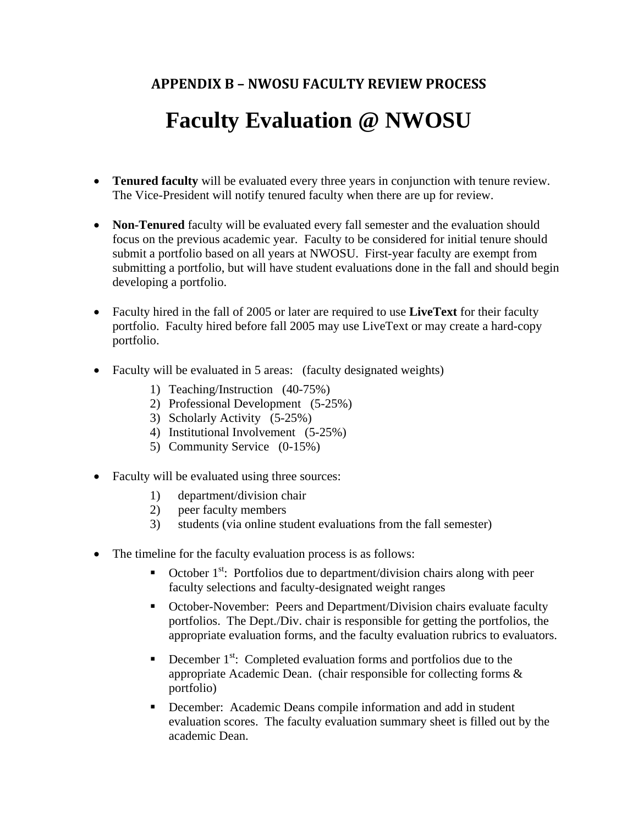# **APPENDIX B – NWOSU FACULTY REVIEW PROCESS**

# **Faculty Evaluation @ NWOSU**

- **Tenured faculty** will be evaluated every three years in conjunction with tenure review. The Vice-President will notify tenured faculty when there are up for review.
- **Non-Tenured** faculty will be evaluated every fall semester and the evaluation should focus on the previous academic year. Faculty to be considered for initial tenure should submit a portfolio based on all years at NWOSU. First-year faculty are exempt from submitting a portfolio, but will have student evaluations done in the fall and should begin developing a portfolio.
- Faculty hired in the fall of 2005 or later are required to use **LiveText** for their faculty portfolio. Faculty hired before fall 2005 may use LiveText or may create a hard-copy portfolio.
- Faculty will be evaluated in 5 areas: (faculty designated weights)
	- 1) Teaching/Instruction (40-75%)
	- 2) Professional Development (5-25%)
	- 3) Scholarly Activity (5-25%)
	- 4) Institutional Involvement (5-25%)
	- 5) Community Service (0-15%)
- Faculty will be evaluated using three sources:
	- 1) department/division chair
	- 2) peer faculty members
	- 3) students (via online student evaluations from the fall semester)
- The timeline for the faculty evaluation process is as follows:
	- October  $1^{st}$ : Portfolios due to department/division chairs along with peer faculty selections and faculty-designated weight ranges
	- October-November: Peers and Department/Division chairs evaluate faculty portfolios. The Dept./Div. chair is responsible for getting the portfolios, the appropriate evaluation forms, and the faculty evaluation rubrics to evaluators.
	- December  $1<sup>st</sup>$ : Completed evaluation forms and portfolios due to the appropriate Academic Dean. (chair responsible for collecting forms & portfolio)
	- December: Academic Deans compile information and add in student evaluation scores. The faculty evaluation summary sheet is filled out by the academic Dean.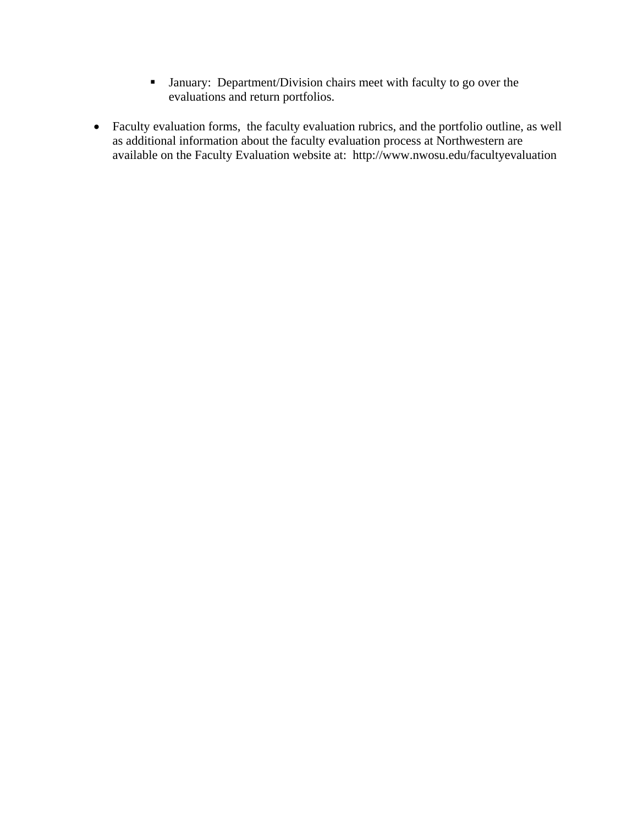- January: Department/Division chairs meet with faculty to go over the evaluations and return portfolios.
- Faculty evaluation forms, the faculty evaluation rubrics, and the portfolio outline, as well as additional information about the faculty evaluation process at Northwestern are available on the Faculty Evaluation website at: http://www.nwosu.edu/facultyevaluation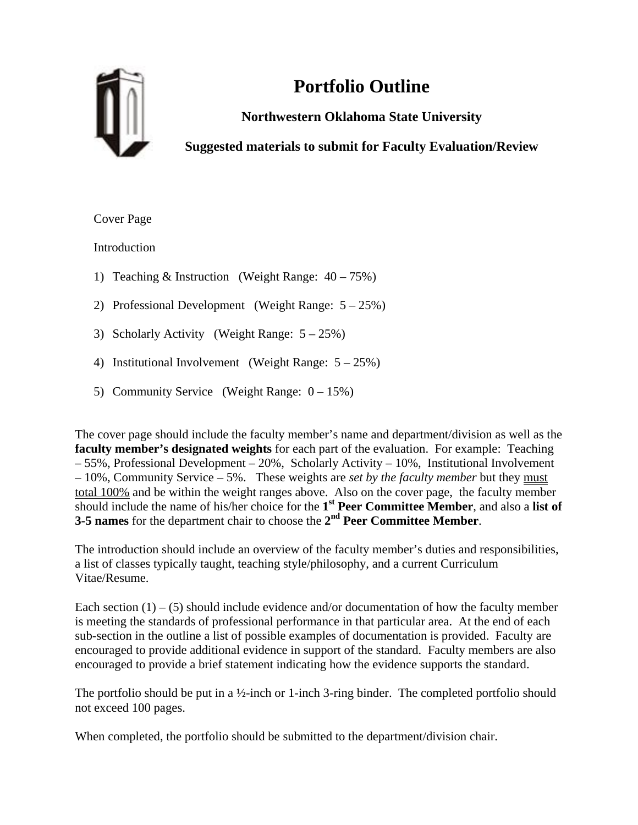

# **Portfolio Outline**

**Northwestern Oklahoma State University** 

**Suggested materials to submit for Faculty Evaluation/Review** 

Cover Page

Introduction

- 1) Teaching & Instruction (Weight Range:  $40 75\%$ )
- 2) Professional Development (Weight Range: 5 25%)
- 3) Scholarly Activity (Weight Range: 5 25%)
- 4) Institutional Involvement (Weight Range: 5 25%)
- 5) Community Service (Weight Range: 0 15%)

The cover page should include the faculty member's name and department/division as well as the **faculty member's designated weights** for each part of the evaluation. For example: Teaching – 55%, Professional Development – 20%, Scholarly Activity – 10%, Institutional Involvement – 10%, Community Service – 5%. These weights are *set by the faculty member* but they must total 100% and be within the weight ranges above. Also on the cover page, the faculty member should include the name of his/her choice for the **1st Peer Committee Member**, and also a **list of 3-5 names** for the department chair to choose the **2nd Peer Committee Member**.

The introduction should include an overview of the faculty member's duties and responsibilities, a list of classes typically taught, teaching style/philosophy, and a current Curriculum Vitae/Resume.

Each section  $(1) - (5)$  should include evidence and/or documentation of how the faculty member is meeting the standards of professional performance in that particular area. At the end of each sub-section in the outline a list of possible examples of documentation is provided. Faculty are encouraged to provide additional evidence in support of the standard. Faculty members are also encouraged to provide a brief statement indicating how the evidence supports the standard.

The portfolio should be put in a  $\frac{1}{2}$ -inch or 1-inch 3-ring binder. The completed portfolio should not exceed 100 pages.

When completed, the portfolio should be submitted to the department/division chair.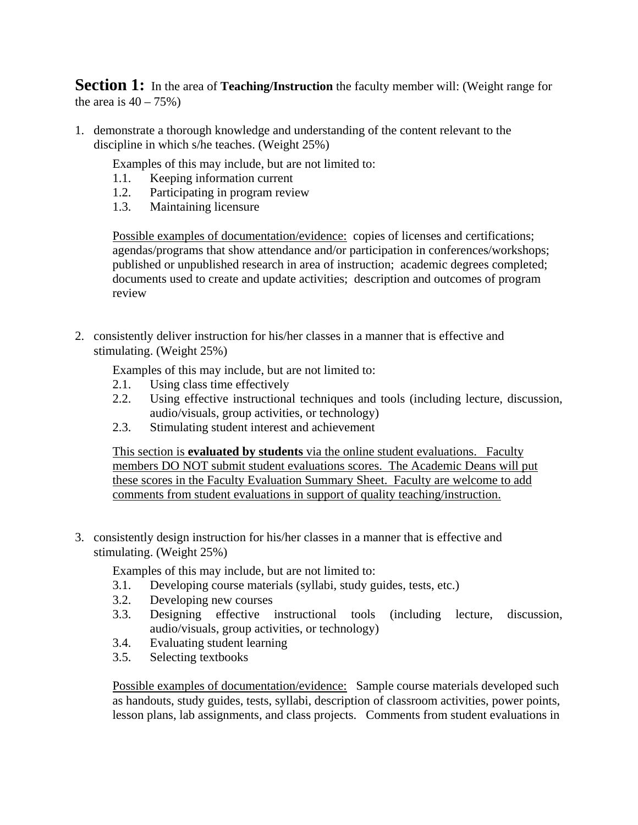**Section 1:** In the area of **Teaching/Instruction** the faculty member will: (Weight range for the area is  $40 - 75\%$ )

1. demonstrate a thorough knowledge and understanding of the content relevant to the discipline in which s/he teaches. (Weight 25%)

Examples of this may include, but are not limited to:

- 1.1. Keeping information current
- 1.2. Participating in program review
- 1.3. Maintaining licensure

Possible examples of documentation/evidence: copies of licenses and certifications; agendas/programs that show attendance and/or participation in conferences/workshops; published or unpublished research in area of instruction; academic degrees completed; documents used to create and update activities; description and outcomes of program review

2. consistently deliver instruction for his/her classes in a manner that is effective and stimulating. (Weight 25%)

Examples of this may include, but are not limited to:

- 2.1. Using class time effectively
- 2.2. Using effective instructional techniques and tools (including lecture, discussion, audio/visuals, group activities, or technology)
- 2.3. Stimulating student interest and achievement

This section is **evaluated by students** via the online student evaluations. Faculty members DO NOT submit student evaluations scores. The Academic Deans will put these scores in the Faculty Evaluation Summary Sheet. Faculty are welcome to add comments from student evaluations in support of quality teaching/instruction.

3. consistently design instruction for his/her classes in a manner that is effective and stimulating. (Weight 25%)

Examples of this may include, but are not limited to:

- 3.1. Developing course materials (syllabi, study guides, tests, etc.)
- 3.2. Developing new courses
- 3.3. Designing effective instructional tools (including lecture, discussion, audio/visuals, group activities, or technology)
- 3.4. Evaluating student learning
- 3.5. Selecting textbooks

Possible examples of documentation/evidence: Sample course materials developed such as handouts, study guides, tests, syllabi, description of classroom activities, power points, lesson plans, lab assignments, and class projects. Comments from student evaluations in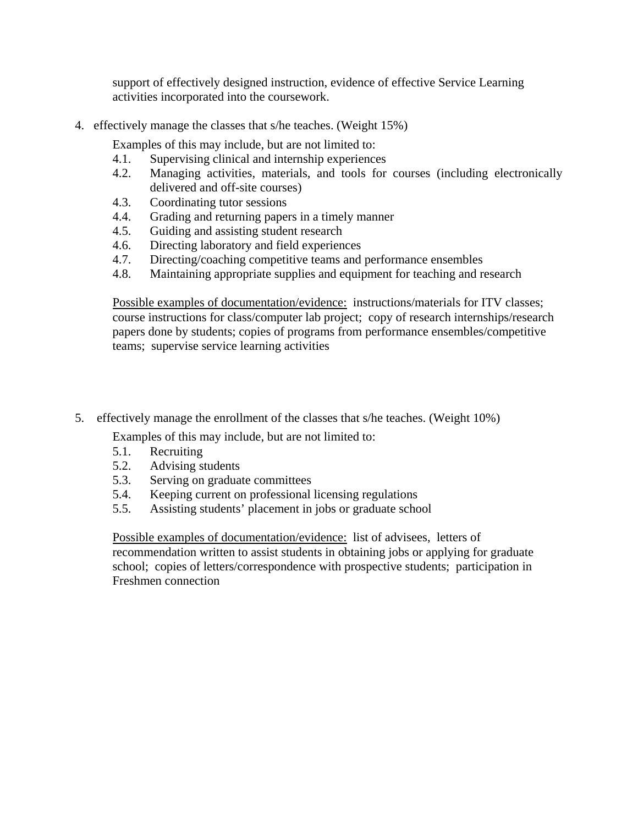support of effectively designed instruction, evidence of effective Service Learning activities incorporated into the coursework.

4. effectively manage the classes that s/he teaches. (Weight 15%)

Examples of this may include, but are not limited to:

- 4.1. Supervising clinical and internship experiences
- 4.2. Managing activities, materials, and tools for courses (including electronically delivered and off-site courses)
- 4.3. Coordinating tutor sessions
- 4.4. Grading and returning papers in a timely manner
- 4.5. Guiding and assisting student research
- 4.6. Directing laboratory and field experiences
- 4.7. Directing/coaching competitive teams and performance ensembles
- 4.8. Maintaining appropriate supplies and equipment for teaching and research

Possible examples of documentation/evidence: instructions/materials for ITV classes; course instructions for class/computer lab project; copy of research internships/research papers done by students; copies of programs from performance ensembles/competitive teams; supervise service learning activities

5. effectively manage the enrollment of the classes that s/he teaches. (Weight 10%)

Examples of this may include, but are not limited to:

- 5.1. Recruiting
- 5.2. Advising students
- 5.3. Serving on graduate committees
- 5.4. Keeping current on professional licensing regulations
- 5.5. Assisting students' placement in jobs or graduate school

Possible examples of documentation/evidence: list of advisees, letters of recommendation written to assist students in obtaining jobs or applying for graduate school; copies of letters/correspondence with prospective students; participation in Freshmen connection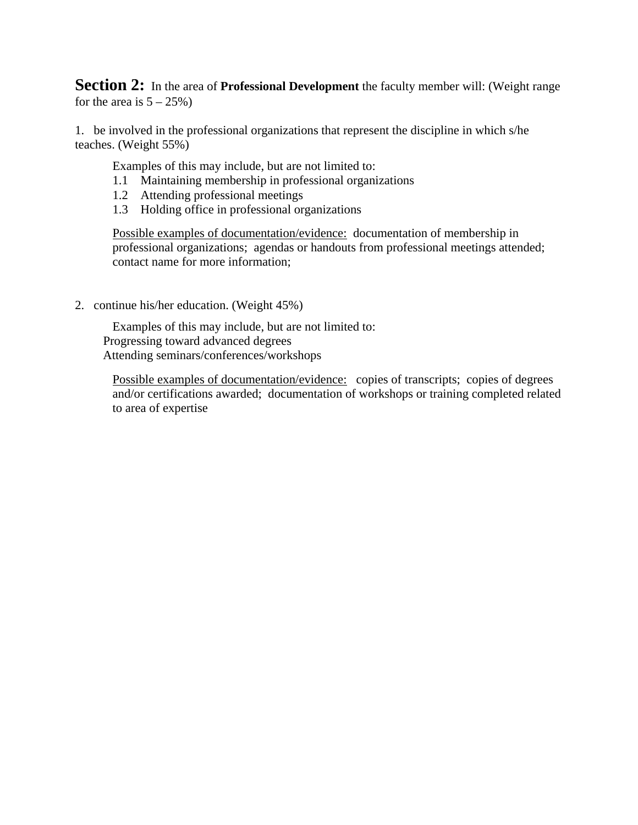**Section 2:** In the area of **Professional Development** the faculty member will: (Weight range for the area is  $5 - 25\%$ )

1. be involved in the professional organizations that represent the discipline in which s/he teaches. (Weight 55%)

Examples of this may include, but are not limited to:

- 1.1 Maintaining membership in professional organizations
- 1.2 Attending professional meetings
- 1.3 Holding office in professional organizations

Possible examples of documentation/evidence: documentation of membership in professional organizations; agendas or handouts from professional meetings attended; contact name for more information;

2. continue his/her education. (Weight 45%)

Examples of this may include, but are not limited to: Progressing toward advanced degrees Attending seminars/conferences/workshops

Possible examples of documentation/evidence: copies of transcripts; copies of degrees and/or certifications awarded; documentation of workshops or training completed related to area of expertise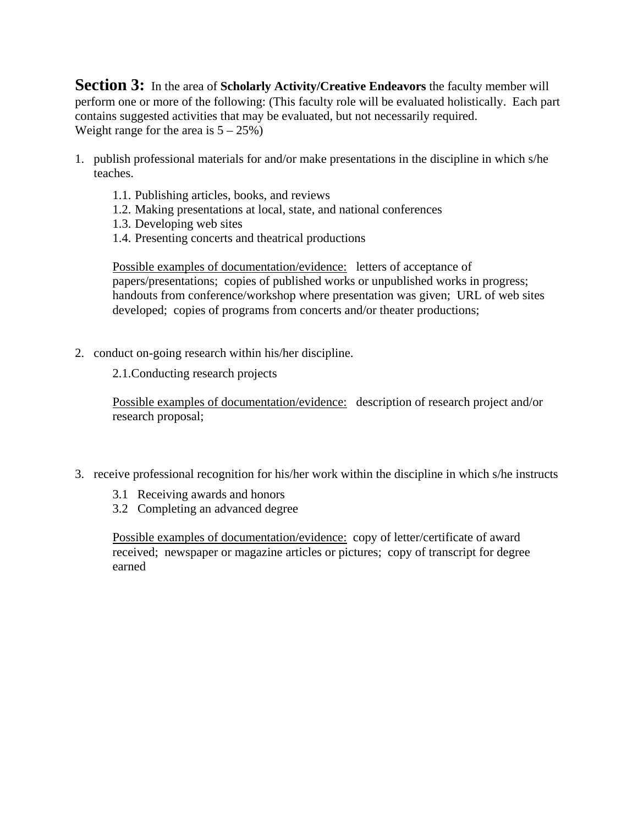**Section 3:** In the area of **Scholarly Activity/Creative Endeavors** the faculty member will perform one or more of the following: (This faculty role will be evaluated holistically. Each part contains suggested activities that may be evaluated, but not necessarily required. Weight range for the area is  $5 - 25\%)$ 

- 1. publish professional materials for and/or make presentations in the discipline in which s/he teaches.
	- 1.1. Publishing articles, books, and reviews
	- 1.2. Making presentations at local, state, and national conferences
	- 1.3. Developing web sites
	- 1.4. Presenting concerts and theatrical productions

Possible examples of documentation/evidence: letters of acceptance of papers/presentations; copies of published works or unpublished works in progress; handouts from conference/workshop where presentation was given; URL of web sites developed; copies of programs from concerts and/or theater productions;

2. conduct on-going research within his/her discipline.

2.1.Conducting research projects

Possible examples of documentation/evidence: description of research project and/or research proposal;

- 3. receive professional recognition for his/her work within the discipline in which s/he instructs
	- 3.1 Receiving awards and honors
	- 3.2 Completing an advanced degree

Possible examples of documentation/evidence: copy of letter/certificate of award received; newspaper or magazine articles or pictures; copy of transcript for degree earned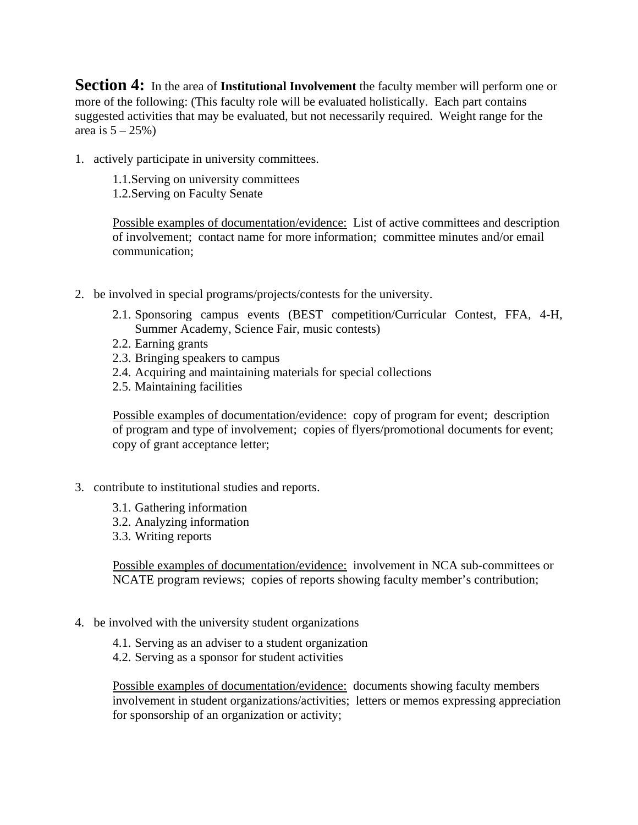**Section 4:** In the area of **Institutional Involvement** the faculty member will perform one or more of the following: (This faculty role will be evaluated holistically. Each part contains suggested activities that may be evaluated, but not necessarily required. Weight range for the area is  $5 - 25\%)$ 

1. actively participate in university committees.

- 1.1.Serving on university committees
- 1.2.Serving on Faculty Senate

Possible examples of documentation/evidence: List of active committees and description of involvement; contact name for more information; committee minutes and/or email communication;

- 2. be involved in special programs/projects/contests for the university.
	- 2.1. Sponsoring campus events (BEST competition/Curricular Contest, FFA, 4-H, Summer Academy, Science Fair, music contests)
	- 2.2. Earning grants
	- 2.3. Bringing speakers to campus
	- 2.4. Acquiring and maintaining materials for special collections
	- 2.5. Maintaining facilities

Possible examples of documentation/evidence: copy of program for event; description of program and type of involvement; copies of flyers/promotional documents for event; copy of grant acceptance letter;

- 3. contribute to institutional studies and reports.
	- 3.1. Gathering information
	- 3.2. Analyzing information
	- 3.3. Writing reports

Possible examples of documentation/evidence: involvement in NCA sub-committees or NCATE program reviews; copies of reports showing faculty member's contribution;

- 4. be involved with the university student organizations
	- 4.1. Serving as an adviser to a student organization
	- 4.2. Serving as a sponsor for student activities

Possible examples of documentation/evidence: documents showing faculty members involvement in student organizations/activities; letters or memos expressing appreciation for sponsorship of an organization or activity;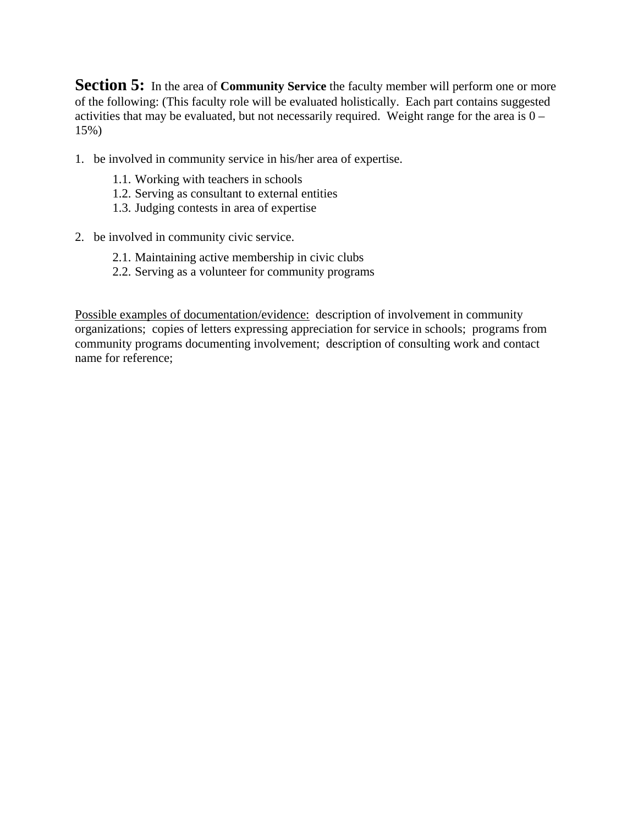**Section 5:** In the area of **Community Service** the faculty member will perform one or more of the following: (This faculty role will be evaluated holistically. Each part contains suggested activities that may be evaluated, but not necessarily required. Weight range for the area is  $0 -$ 15%)

- 1. be involved in community service in his/her area of expertise.
	- 1.1. Working with teachers in schools
	- 1.2. Serving as consultant to external entities
	- 1.3. Judging contests in area of expertise
- 2. be involved in community civic service.
	- 2.1. Maintaining active membership in civic clubs
	- 2.2. Serving as a volunteer for community programs

Possible examples of documentation/evidence: description of involvement in community organizations; copies of letters expressing appreciation for service in schools; programs from community programs documenting involvement; description of consulting work and contact name for reference;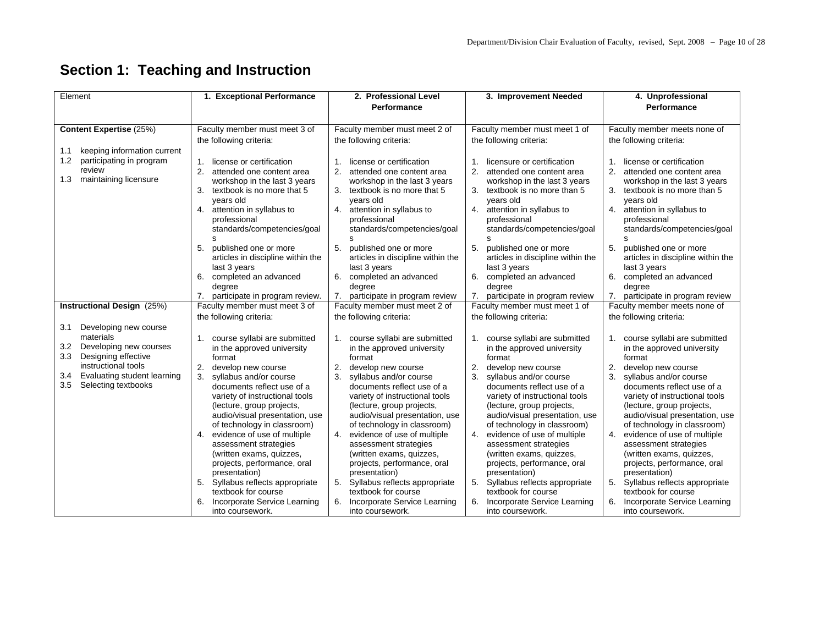# **Section 1: Teaching and Instruction**

| Element                                                          | 1. Exceptional Performance                                            | 2. Professional Level<br>Performance                              | 3. Improvement Needed                                          | 4. Unprofessional<br>Performance                                 |
|------------------------------------------------------------------|-----------------------------------------------------------------------|-------------------------------------------------------------------|----------------------------------------------------------------|------------------------------------------------------------------|
| Content Expertise (25%)                                          | Faculty member must meet 3 of                                         | Faculty member must meet 2 of                                     | Faculty member must meet 1 of                                  | Faculty member meets none of                                     |
|                                                                  | the following criteria:                                               | the following criteria:                                           | the following criteria:                                        | the following criteria:                                          |
| keeping information current<br>1.1                               |                                                                       |                                                                   |                                                                |                                                                  |
| 1.2<br>participating in program                                  | license or certification<br>$1_{-}$                                   | license or certification<br>$\mathbf{1}$ .                        | licensure or certification<br>$\mathbf 1$                      | license or certification<br>1.                                   |
| review                                                           | 2.<br>attended one content area                                       | 2. attended one content area                                      | 2. attended one content area                                   | 2. attended one content area                                     |
| maintaining licensure<br>1.3                                     | workshop in the last 3 years<br>3.<br>textbook is no more that 5      | workshop in the last 3 years<br>3. textbook is no more that 5     | workshop in the last 3 years<br>3. textbook is no more than 5  | workshop in the last 3 years<br>3.<br>textbook is no more than 5 |
|                                                                  | years old                                                             | years old                                                         | years old                                                      | years old                                                        |
|                                                                  | attention in syllabus to<br>4.                                        | 4. attention in syllabus to                                       | 4.<br>attention in syllabus to                                 | 4. attention in syllabus to                                      |
|                                                                  | professional                                                          | professional                                                      | professional                                                   | professional                                                     |
|                                                                  | standards/competencies/goal                                           | standards/competencies/goal                                       | standards/competencies/goal                                    | standards/competencies/goal                                      |
|                                                                  | s<br>5.<br>published one or more                                      | s<br>5. published one or more                                     | S<br>5.<br>published one or more                               | s<br>5.<br>published one or more                                 |
|                                                                  | articles in discipline within the                                     | articles in discipline within the                                 | articles in discipline within the                              | articles in discipline within the                                |
|                                                                  | last 3 years                                                          | last 3 years                                                      | last 3 years                                                   | last 3 years                                                     |
|                                                                  | 6.<br>completed an advanced                                           | 6. completed an advanced                                          | 6.<br>completed an advanced                                    | 6.<br>completed an advanced                                      |
|                                                                  | degree                                                                | degree                                                            | degree                                                         | degree                                                           |
|                                                                  | 7.<br>participate in program review.<br>Faculty member must meet 3 of | 7. participate in program review<br>Faculty member must meet 2 of | participate in program review<br>Faculty member must meet 1 of | 7. participate in program review<br>Faculty member meets none of |
| Instructional Design (25%)                                       | the following criteria:                                               | the following criteria:                                           | the following criteria:                                        | the following criteria:                                          |
| Developing new course<br>3.1                                     |                                                                       |                                                                   |                                                                |                                                                  |
| materials                                                        | 1. course syllabi are submitted                                       | 1. course syllabi are submitted                                   | 1. course syllabi are submitted                                | 1. course syllabi are submitted                                  |
| 3.2<br>Developing new courses                                    | in the approved university                                            | in the approved university                                        | in the approved university                                     | in the approved university                                       |
| 3.3<br>Designing effective                                       | format                                                                | format                                                            | format                                                         | format                                                           |
| instructional tools                                              | 2.<br>develop new course                                              | 2.<br>develop new course                                          | 2.<br>develop new course                                       | 2.<br>develop new course                                         |
| Evaluating student learning<br>3.4<br>3.5<br>Selecting textbooks | 3.<br>syllabus and/or course                                          | 3.<br>syllabus and/or course                                      | 3.<br>syllabus and/or course                                   | 3.<br>syllabus and/or course                                     |
|                                                                  | documents reflect use of a<br>variety of instructional tools          | documents reflect use of a<br>variety of instructional tools      | documents reflect use of a<br>variety of instructional tools   | documents reflect use of a<br>variety of instructional tools     |
|                                                                  | (lecture, group projects,                                             | (lecture, group projects,                                         | (lecture, group projects,                                      | (lecture, group projects,                                        |
|                                                                  | audio/visual presentation, use                                        | audio/visual presentation, use                                    | audio/visual presentation, use                                 | audio/visual presentation, use                                   |
|                                                                  | of technology in classroom)                                           | of technology in classroom)                                       | of technology in classroom)                                    | of technology in classroom)                                      |
|                                                                  | 4. evidence of use of multiple                                        | 4. evidence of use of multiple                                    | 4. evidence of use of multiple                                 | evidence of use of multiple<br>4.                                |
|                                                                  | assessment strategies                                                 | assessment strategies                                             | assessment strategies                                          | assessment strategies                                            |
|                                                                  | (written exams, quizzes,<br>projects, performance, oral               | (written exams, quizzes,<br>projects, performance, oral           | (written exams, quizzes,<br>projects, performance, oral        | (written exams, quizzes,<br>projects, performance, oral          |
|                                                                  | presentation)                                                         | presentation)                                                     | presentation)                                                  | presentation)                                                    |
|                                                                  | 5. Syllabus reflects appropriate                                      | 5. Syllabus reflects appropriate                                  | Syllabus reflects appropriate<br>5.                            | 5.<br>Syllabus reflects appropriate                              |
|                                                                  | textbook for course                                                   | textbook for course                                               | textbook for course                                            | textbook for course                                              |
|                                                                  | 6. Incorporate Service Learning<br>into coursework.                   | 6. Incorporate Service Learning<br>into coursework.               | 6. Incorporate Service Learning<br>into coursework.            | Incorporate Service Learning<br>into coursework.                 |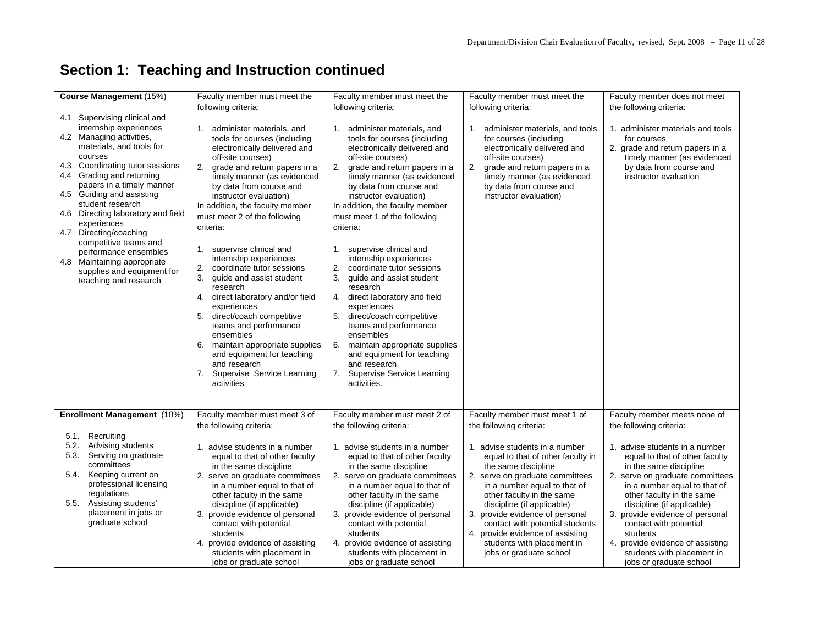# **Section 1: Teaching and Instruction continued**

|                                                                                                                                                                                                                                                                                                                                                                                                                                                                                                                                    | following criteria:                                                                                                                                                                                                                                                                                                                                                                                                                                                                                                                                                                                                                                                                                                                                      | following criteria:                                                                                                                                                                                                                                                                                                                                                                                                                                                                                                                                                                                                                                                                                                                                | following criteria:                                                                                                                                                                                                                                                            |                                                                                                                                                                                                                                   |
|------------------------------------------------------------------------------------------------------------------------------------------------------------------------------------------------------------------------------------------------------------------------------------------------------------------------------------------------------------------------------------------------------------------------------------------------------------------------------------------------------------------------------------|----------------------------------------------------------------------------------------------------------------------------------------------------------------------------------------------------------------------------------------------------------------------------------------------------------------------------------------------------------------------------------------------------------------------------------------------------------------------------------------------------------------------------------------------------------------------------------------------------------------------------------------------------------------------------------------------------------------------------------------------------------|----------------------------------------------------------------------------------------------------------------------------------------------------------------------------------------------------------------------------------------------------------------------------------------------------------------------------------------------------------------------------------------------------------------------------------------------------------------------------------------------------------------------------------------------------------------------------------------------------------------------------------------------------------------------------------------------------------------------------------------------------|--------------------------------------------------------------------------------------------------------------------------------------------------------------------------------------------------------------------------------------------------------------------------------|-----------------------------------------------------------------------------------------------------------------------------------------------------------------------------------------------------------------------------------|
| Course Management (15%)<br>4.1 Supervising clinical and<br>internship experiences<br>4.2 Managing activities,<br>materials, and tools for<br>courses<br>4.3 Coordinating tutor sessions<br>Grading and returning<br>4.4<br>papers in a timely manner<br>4.5 Guiding and assisting<br>student research<br>4.6 Directing laboratory and field<br>experiences<br>Directing/coaching<br>4.7<br>competitive teams and<br>performance ensembles<br>4.8<br>Maintaining appropriate<br>supplies and equipment for<br>teaching and research | Faculty member must meet the<br>1. administer materials, and<br>tools for courses (including<br>electronically delivered and<br>off-site courses)<br>2. grade and return papers in a<br>timely manner (as evidenced<br>by data from course and<br>instructor evaluation)<br>In addition, the faculty member<br>must meet 2 of the following<br>criteria:<br>1. supervise clinical and<br>internship experiences<br>2.<br>coordinate tutor sessions<br>3.<br>quide and assist student<br>research<br>direct laboratory and/or field<br>4.<br>experiences<br>5.<br>direct/coach competitive<br>teams and performance<br>ensembles<br>6.<br>maintain appropriate supplies<br>and equipment for teaching<br>and research<br>7.<br>Supervise Service Learning | Faculty member must meet the<br>1. administer materials, and<br>tools for courses (including<br>electronically delivered and<br>off-site courses)<br>2. grade and return papers in a<br>timely manner (as evidenced<br>by data from course and<br>instructor evaluation)<br>In addition, the faculty member<br>must meet 1 of the following<br>criteria:<br>1. supervise clinical and<br>internship experiences<br>2.<br>coordinate tutor sessions<br>3.<br>quide and assist student<br>research<br>direct laboratory and field<br>4.<br>experiences<br>5.<br>direct/coach competitive<br>teams and performance<br>ensembles<br>maintain appropriate supplies<br>6.<br>and equipment for teaching<br>and research<br>7. Supervise Service Learning | Faculty member must meet the<br>administer materials, and tools<br>1.<br>for courses (including<br>electronically delivered and<br>off-site courses)<br>2.<br>grade and return papers in a<br>timely manner (as evidenced<br>by data from course and<br>instructor evaluation) | Faculty member does not meet<br>the following criteria:<br>1. administer materials and tools<br>for courses<br>2. grade and return papers in a<br>timely manner (as evidenced<br>by data from course and<br>instructor evaluation |
|                                                                                                                                                                                                                                                                                                                                                                                                                                                                                                                                    | activities                                                                                                                                                                                                                                                                                                                                                                                                                                                                                                                                                                                                                                                                                                                                               | activities.                                                                                                                                                                                                                                                                                                                                                                                                                                                                                                                                                                                                                                                                                                                                        |                                                                                                                                                                                                                                                                                |                                                                                                                                                                                                                                   |
|                                                                                                                                                                                                                                                                                                                                                                                                                                                                                                                                    |                                                                                                                                                                                                                                                                                                                                                                                                                                                                                                                                                                                                                                                                                                                                                          |                                                                                                                                                                                                                                                                                                                                                                                                                                                                                                                                                                                                                                                                                                                                                    |                                                                                                                                                                                                                                                                                |                                                                                                                                                                                                                                   |
|                                                                                                                                                                                                                                                                                                                                                                                                                                                                                                                                    |                                                                                                                                                                                                                                                                                                                                                                                                                                                                                                                                                                                                                                                                                                                                                          |                                                                                                                                                                                                                                                                                                                                                                                                                                                                                                                                                                                                                                                                                                                                                    |                                                                                                                                                                                                                                                                                |                                                                                                                                                                                                                                   |
|                                                                                                                                                                                                                                                                                                                                                                                                                                                                                                                                    |                                                                                                                                                                                                                                                                                                                                                                                                                                                                                                                                                                                                                                                                                                                                                          |                                                                                                                                                                                                                                                                                                                                                                                                                                                                                                                                                                                                                                                                                                                                                    |                                                                                                                                                                                                                                                                                |                                                                                                                                                                                                                                   |
| Enrollment Management (10%)                                                                                                                                                                                                                                                                                                                                                                                                                                                                                                        | Faculty member must meet 3 of                                                                                                                                                                                                                                                                                                                                                                                                                                                                                                                                                                                                                                                                                                                            | Faculty member must meet 2 of                                                                                                                                                                                                                                                                                                                                                                                                                                                                                                                                                                                                                                                                                                                      | Faculty member must meet 1 of                                                                                                                                                                                                                                                  | Faculty member meets none of                                                                                                                                                                                                      |
|                                                                                                                                                                                                                                                                                                                                                                                                                                                                                                                                    | the following criteria:                                                                                                                                                                                                                                                                                                                                                                                                                                                                                                                                                                                                                                                                                                                                  | the following criteria:                                                                                                                                                                                                                                                                                                                                                                                                                                                                                                                                                                                                                                                                                                                            | the following criteria:                                                                                                                                                                                                                                                        | the following criteria:                                                                                                                                                                                                           |
| 5.1. Recruiting                                                                                                                                                                                                                                                                                                                                                                                                                                                                                                                    |                                                                                                                                                                                                                                                                                                                                                                                                                                                                                                                                                                                                                                                                                                                                                          |                                                                                                                                                                                                                                                                                                                                                                                                                                                                                                                                                                                                                                                                                                                                                    |                                                                                                                                                                                                                                                                                |                                                                                                                                                                                                                                   |
| 5.2. Advising students                                                                                                                                                                                                                                                                                                                                                                                                                                                                                                             | 1. advise students in a number                                                                                                                                                                                                                                                                                                                                                                                                                                                                                                                                                                                                                                                                                                                           | 1. advise students in a number                                                                                                                                                                                                                                                                                                                                                                                                                                                                                                                                                                                                                                                                                                                     | 1. advise students in a number                                                                                                                                                                                                                                                 | 1. advise students in a number                                                                                                                                                                                                    |
| 5.3. Serving on graduate                                                                                                                                                                                                                                                                                                                                                                                                                                                                                                           | equal to that of other faculty                                                                                                                                                                                                                                                                                                                                                                                                                                                                                                                                                                                                                                                                                                                           | equal to that of other faculty                                                                                                                                                                                                                                                                                                                                                                                                                                                                                                                                                                                                                                                                                                                     | equal to that of other faculty in                                                                                                                                                                                                                                              | equal to that of other faculty                                                                                                                                                                                                    |
| committees                                                                                                                                                                                                                                                                                                                                                                                                                                                                                                                         | in the same discipline                                                                                                                                                                                                                                                                                                                                                                                                                                                                                                                                                                                                                                                                                                                                   | in the same discipline                                                                                                                                                                                                                                                                                                                                                                                                                                                                                                                                                                                                                                                                                                                             | the same discipline                                                                                                                                                                                                                                                            | in the same discipline                                                                                                                                                                                                            |
| 5.4. Keeping current on                                                                                                                                                                                                                                                                                                                                                                                                                                                                                                            | 2. serve on graduate committees                                                                                                                                                                                                                                                                                                                                                                                                                                                                                                                                                                                                                                                                                                                          | 2. serve on graduate committees                                                                                                                                                                                                                                                                                                                                                                                                                                                                                                                                                                                                                                                                                                                    | 2. serve on graduate committees                                                                                                                                                                                                                                                | 2. serve on graduate committees                                                                                                                                                                                                   |
| professional licensing                                                                                                                                                                                                                                                                                                                                                                                                                                                                                                             | in a number equal to that of                                                                                                                                                                                                                                                                                                                                                                                                                                                                                                                                                                                                                                                                                                                             | in a number equal to that of                                                                                                                                                                                                                                                                                                                                                                                                                                                                                                                                                                                                                                                                                                                       | in a number equal to that of                                                                                                                                                                                                                                                   | in a number equal to that of                                                                                                                                                                                                      |
| regulations                                                                                                                                                                                                                                                                                                                                                                                                                                                                                                                        | other faculty in the same                                                                                                                                                                                                                                                                                                                                                                                                                                                                                                                                                                                                                                                                                                                                | other faculty in the same                                                                                                                                                                                                                                                                                                                                                                                                                                                                                                                                                                                                                                                                                                                          | other faculty in the same                                                                                                                                                                                                                                                      | other faculty in the same                                                                                                                                                                                                         |
| Assisting students'<br>5.5.                                                                                                                                                                                                                                                                                                                                                                                                                                                                                                        | discipline (if applicable)                                                                                                                                                                                                                                                                                                                                                                                                                                                                                                                                                                                                                                                                                                                               | discipline (if applicable)                                                                                                                                                                                                                                                                                                                                                                                                                                                                                                                                                                                                                                                                                                                         | discipline (if applicable)                                                                                                                                                                                                                                                     | discipline (if applicable)                                                                                                                                                                                                        |
| placement in jobs or                                                                                                                                                                                                                                                                                                                                                                                                                                                                                                               | 3. provide evidence of personal                                                                                                                                                                                                                                                                                                                                                                                                                                                                                                                                                                                                                                                                                                                          | 3. provide evidence of personal                                                                                                                                                                                                                                                                                                                                                                                                                                                                                                                                                                                                                                                                                                                    | provide evidence of personal<br>3.                                                                                                                                                                                                                                             | 3. provide evidence of personal                                                                                                                                                                                                   |
| graduate school                                                                                                                                                                                                                                                                                                                                                                                                                                                                                                                    | contact with potential                                                                                                                                                                                                                                                                                                                                                                                                                                                                                                                                                                                                                                                                                                                                   | contact with potential                                                                                                                                                                                                                                                                                                                                                                                                                                                                                                                                                                                                                                                                                                                             | contact with potential students                                                                                                                                                                                                                                                | contact with potential                                                                                                                                                                                                            |
|                                                                                                                                                                                                                                                                                                                                                                                                                                                                                                                                    | students                                                                                                                                                                                                                                                                                                                                                                                                                                                                                                                                                                                                                                                                                                                                                 | students                                                                                                                                                                                                                                                                                                                                                                                                                                                                                                                                                                                                                                                                                                                                           | 4. provide evidence of assisting                                                                                                                                                                                                                                               | students                                                                                                                                                                                                                          |
|                                                                                                                                                                                                                                                                                                                                                                                                                                                                                                                                    | 4. provide evidence of assisting                                                                                                                                                                                                                                                                                                                                                                                                                                                                                                                                                                                                                                                                                                                         | 4. provide evidence of assisting                                                                                                                                                                                                                                                                                                                                                                                                                                                                                                                                                                                                                                                                                                                   | students with placement in                                                                                                                                                                                                                                                     | 4. provide evidence of assisting                                                                                                                                                                                                  |
|                                                                                                                                                                                                                                                                                                                                                                                                                                                                                                                                    | students with placement in                                                                                                                                                                                                                                                                                                                                                                                                                                                                                                                                                                                                                                                                                                                               | students with placement in                                                                                                                                                                                                                                                                                                                                                                                                                                                                                                                                                                                                                                                                                                                         | jobs or graduate school                                                                                                                                                                                                                                                        | students with placement in                                                                                                                                                                                                        |
|                                                                                                                                                                                                                                                                                                                                                                                                                                                                                                                                    | jobs or graduate school                                                                                                                                                                                                                                                                                                                                                                                                                                                                                                                                                                                                                                                                                                                                  | jobs or graduate school                                                                                                                                                                                                                                                                                                                                                                                                                                                                                                                                                                                                                                                                                                                            |                                                                                                                                                                                                                                                                                | jobs or graduate school                                                                                                                                                                                                           |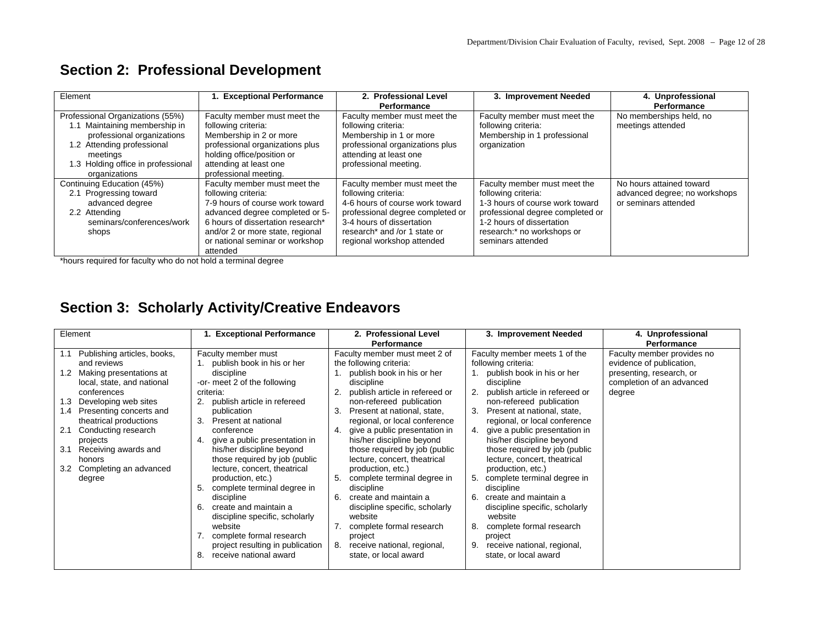| Element                                                                                                                                   | <b>Exceptional Performance</b>                                                                                                                                                                                                                    | 2. Professional Level                                                                                                                                                                                                 | 3. Improvement Needed                                                                                                                                                                                      | 4. Unprofessional                                                                 |
|-------------------------------------------------------------------------------------------------------------------------------------------|---------------------------------------------------------------------------------------------------------------------------------------------------------------------------------------------------------------------------------------------------|-----------------------------------------------------------------------------------------------------------------------------------------------------------------------------------------------------------------------|------------------------------------------------------------------------------------------------------------------------------------------------------------------------------------------------------------|-----------------------------------------------------------------------------------|
|                                                                                                                                           |                                                                                                                                                                                                                                                   | Performance                                                                                                                                                                                                           |                                                                                                                                                                                                            | Performance                                                                       |
| Professional Organizations (55%)<br>1.1 Maintaining membership in<br>professional organizations<br>1.2 Attending professional<br>meetings | Faculty member must meet the<br>following criteria:<br>Membership in 2 or more<br>professional organizations plus<br>holding office/position or                                                                                                   | Faculty member must meet the<br>following criteria:<br>Membership in 1 or more<br>professional organizations plus<br>attending at least one                                                                           | Faculty member must meet the<br>following criteria:<br>Membership in 1 professional<br>organization                                                                                                        | No memberships held, no<br>meetings attended                                      |
| 1.3 Holding office in professional<br>organizations                                                                                       | attending at least one<br>professional meeting.                                                                                                                                                                                                   | professional meeting.                                                                                                                                                                                                 |                                                                                                                                                                                                            |                                                                                   |
| Continuing Education (45%)<br>2.1 Progressing toward<br>advanced degree<br>2.2 Attending<br>seminars/conferences/work<br>shops            | Faculty member must meet the<br>following criteria:<br>7-9 hours of course work toward<br>advanced degree completed or 5-<br>6 hours of dissertation research*<br>and/or 2 or more state, regional<br>or national seminar or workshop<br>attended | Faculty member must meet the<br>following criteria:<br>4-6 hours of course work toward<br>professional degree completed or<br>3-4 hours of dissertation<br>research* and /or 1 state or<br>regional workshop attended | Faculty member must meet the<br>following criteria:<br>1-3 hours of course work toward<br>professional degree completed or<br>1-2 hours of dissertation<br>research:* no workshops or<br>seminars attended | No hours attained toward<br>advanced degree; no workshops<br>or seminars attended |

## **Section 2: Professional Development**

\*hours required for faculty who do not hold a terminal degree

## **Section 3: Scholarly Activity/Creative Endeavors**

| Element                                                                                                                                                                                                                                                                                                                                                   | <b>Exceptional Performance</b>                                                                                                                                                                                                                                                                                                                                                                                                                                                                                                                                                                          | 2. Professional Level<br><b>Performance</b>                                                                                                                                                                                                                                                                                                                                                                                                                                                                                                                                                                                      | 3. Improvement Needed                                                                                                                                                                                                                                                                                                                                                                                                                                                                                                                                                                                            | 4. Unprofessional<br><b>Performance</b>                                                                                   |
|-----------------------------------------------------------------------------------------------------------------------------------------------------------------------------------------------------------------------------------------------------------------------------------------------------------------------------------------------------------|---------------------------------------------------------------------------------------------------------------------------------------------------------------------------------------------------------------------------------------------------------------------------------------------------------------------------------------------------------------------------------------------------------------------------------------------------------------------------------------------------------------------------------------------------------------------------------------------------------|----------------------------------------------------------------------------------------------------------------------------------------------------------------------------------------------------------------------------------------------------------------------------------------------------------------------------------------------------------------------------------------------------------------------------------------------------------------------------------------------------------------------------------------------------------------------------------------------------------------------------------|------------------------------------------------------------------------------------------------------------------------------------------------------------------------------------------------------------------------------------------------------------------------------------------------------------------------------------------------------------------------------------------------------------------------------------------------------------------------------------------------------------------------------------------------------------------------------------------------------------------|---------------------------------------------------------------------------------------------------------------------------|
| Publishing articles, books,<br>1.1<br>and reviews<br>Making presentations at<br>1.2<br>local, state, and national<br>conferences<br>Developing web sites<br>1.3<br>Presenting concerts and<br>1.4<br>theatrical productions<br>2.1<br>Conducting research<br>projects<br>3.1<br>Receiving awards and<br>honors<br>Completing an advanced<br>3.2<br>degree | Faculty member must<br>1. publish book in his or her<br>discipline<br>-or- meet 2 of the following<br>criteria:<br>publish article in refereed<br>2.<br>publication<br>3.<br>Present at national<br>conference<br>give a public presentation in<br>4.<br>his/her discipline beyond<br>those required by job (public<br>lecture, concert, theatrical<br>production, etc.)<br>complete terminal degree in<br>5.<br>discipline<br>create and maintain a<br>6.<br>discipline specific, scholarly<br>website<br>complete formal research<br>project resulting in publication<br>receive national award<br>8. | Faculty member must meet 2 of<br>the following criteria:<br>publish book in his or her<br>discipline<br>publish article in refereed or<br>non-refereed publication<br>Present at national, state,<br>3.<br>regional, or local conference<br>give a public presentation in<br>his/her discipline beyond<br>those required by job (public<br>lecture, concert, theatrical<br>production, etc.)<br>complete terminal degree in<br>5.<br>discipline<br>create and maintain a<br>6.<br>discipline specific, scholarly<br>website<br>complete formal research<br>project<br>receive national, regional,<br>8.<br>state, or local award | Faculty member meets 1 of the<br>following criteria:<br>publish book in his or her<br>discipline<br>publish article in refereed or<br>non-refereed publication<br>Present at national, state,<br>regional, or local conference<br>give a public presentation in<br>his/her discipline beyond<br>those required by job (public<br>lecture, concert, theatrical<br>production, etc.)<br>complete terminal degree in<br>discipline<br>create and maintain a<br>6.<br>discipline specific, scholarly<br>website<br>complete formal research<br>project<br>receive national, regional,<br>9.<br>state, or local award | Faculty member provides no<br>evidence of publication,<br>presenting, research, or<br>completion of an advanced<br>degree |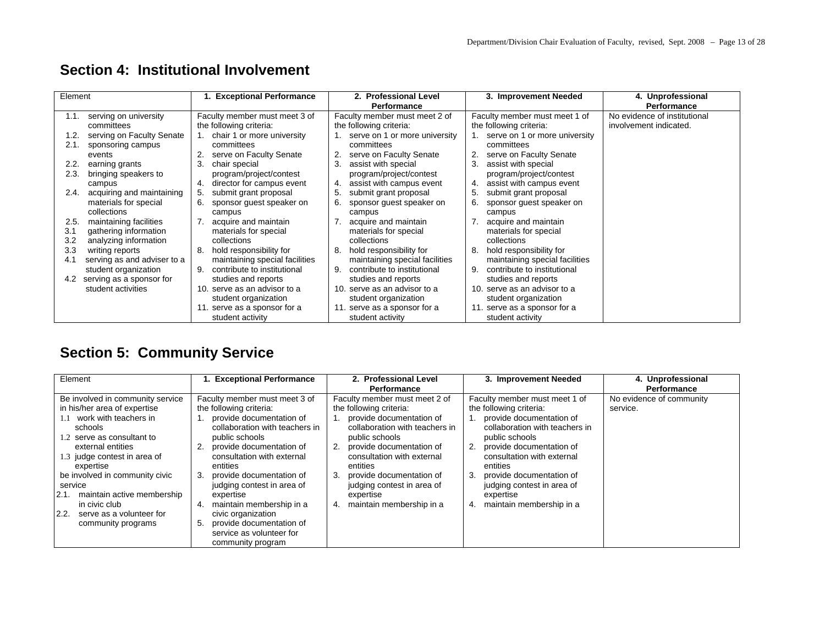| Element |                             | <b>Exceptional Performance</b>    | 2. Professional Level             | 3. Improvement Needed             | 4. Unprofessional            |
|---------|-----------------------------|-----------------------------------|-----------------------------------|-----------------------------------|------------------------------|
|         |                             |                                   | <b>Performance</b>                |                                   | Performance                  |
| 1.1.    | serving on university       | Faculty member must meet 3 of     | Faculty member must meet 2 of     | Faculty member must meet 1 of     | No evidence of institutional |
|         | committees                  | the following criteria:           | the following criteria:           | the following criteria:           | involvement indicated.       |
| 1.2.    | serving on Faculty Senate   | chair 1 or more university        | 1. serve on 1 or more university  | serve on 1 or more university     |                              |
| 2.1.    | sponsoring campus           | committees                        | committees                        | committees                        |                              |
|         | events                      | serve on Faculty Senate           | serve on Faculty Senate<br>2.     | serve on Faculty Senate           |                              |
| 2.2.    | earning grants              | 3.<br>chair special               | 3.<br>assist with special         | 3.<br>assist with special         |                              |
| 2.3.    | bringing speakers to        | program/project/contest           | program/project/contest           | program/project/contest           |                              |
|         | campus                      | director for campus event<br>4.   | assist with campus event<br>4.    | assist with campus event<br>4.    |                              |
| 2.4.    | acquiring and maintaining   | submit grant proposal             | 5.<br>submit grant proposal       | 5.<br>submit grant proposal       |                              |
|         | materials for special       | sponsor guest speaker on<br>6.    | 6.<br>sponsor guest speaker on    | 6.<br>sponsor guest speaker on    |                              |
|         | collections                 | campus                            | campus                            | campus                            |                              |
| 2.5.    | maintaining facilities      | acquire and maintain              | acquire and maintain              | acquire and maintain              |                              |
| 3.1     | gathering information       | materials for special             | materials for special             | materials for special             |                              |
| 3.2     | analyzing information       | collections                       | collections                       | collections                       |                              |
| 3.3     | writing reports             | hold responsibility for<br>8.     | hold responsibility for<br>8.     | hold responsibility for<br>8.     |                              |
| 4.1     | serving as and adviser to a | maintaining special facilities    | maintaining special facilities    | maintaining special facilities    |                              |
|         | student organization        | contribute to institutional<br>9. | contribute to institutional<br>9. | 9.<br>contribute to institutional |                              |
| 4.2     | serving as a sponsor for    | studies and reports               | studies and reports               | studies and reports               |                              |
|         | student activities          | 10. serve as an advisor to a      | 10. serve as an advisor to a      | 10. serve as an advisor to a      |                              |
|         |                             | student organization              | student organization              | student organization              |                              |
|         |                             | 11. serve as a sponsor for a      | 11. serve as a sponsor for a      | 11. serve as a sponsor for a      |                              |
|         |                             | student activity                  | student activity                  | student activity                  |                              |

## **Section 4: Institutional Involvement**

# **Section 5: Community Service**

| Element                                                   | <b>Exceptional Performance</b>                                                                        | 2. Professional Level                                                        | 3. Improvement Needed                                                        | 4. Unprofessional        |
|-----------------------------------------------------------|-------------------------------------------------------------------------------------------------------|------------------------------------------------------------------------------|------------------------------------------------------------------------------|--------------------------|
|                                                           |                                                                                                       | Performance                                                                  |                                                                              | Performance              |
| Be involved in community service                          | Faculty member must meet 3 of                                                                         | Faculty member must meet 2 of                                                | Faculty member must meet 1 of                                                | No evidence of community |
| in his/her area of expertise<br>1.1 work with teachers in | the following criteria:                                                                               | the following criteria:                                                      | the following criteria:                                                      | service.                 |
| schools<br>1.2 serve as consultant to                     | provide documentation of<br>collaboration with teachers in<br>public schools                          | provide documentation of<br>collaboration with teachers in<br>public schools | provide documentation of<br>collaboration with teachers in<br>public schools |                          |
| external entities<br>1.3 judge contest in area of         | provide documentation of<br>consultation with external                                                | provide documentation of<br>-2.<br>consultation with external                | provide documentation of<br>2.<br>consultation with external                 |                          |
| expertise<br>be involved in community civic<br>service    | entities<br>provide documentation of<br>judging contest in area of                                    | entities<br>provide documentation of<br>-3.<br>judging contest in area of    | entities<br>provide documentation of<br>3.<br>judging contest in area of     |                          |
| maintain active membership<br>2.1.<br>in civic club       | expertise<br>maintain membership in a<br>4.                                                           | expertise<br>maintain membership in a<br>4.                                  | expertise<br>maintain membership in a<br>4.                                  |                          |
| 2.2.<br>serve as a volunteer for<br>community programs    | civic organization<br>provide documentation of<br>5.<br>service as volunteer for<br>community program |                                                                              |                                                                              |                          |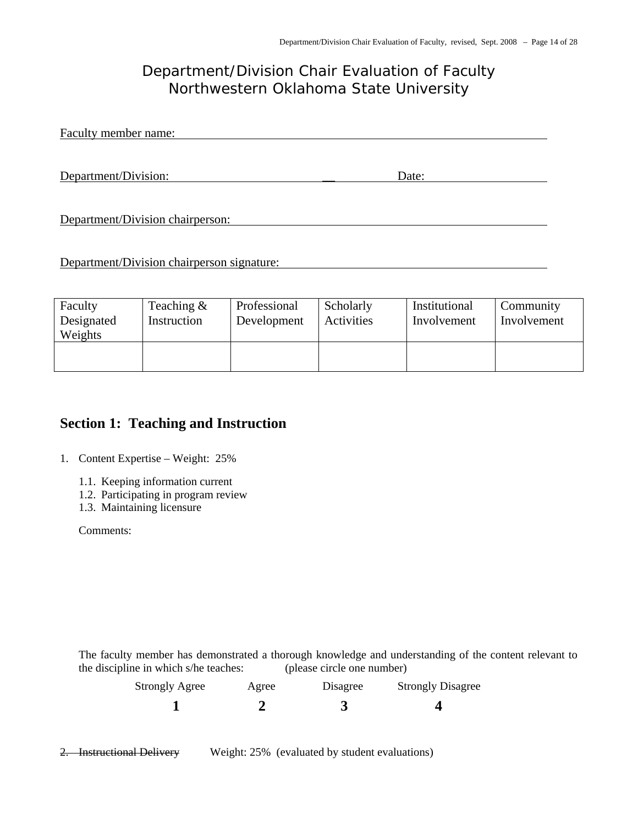## *Department/Division Chair Evaluation of Faculty Northwestern Oklahoma State University*

Faculty member name:

Department/Division: Date: Date:

Department/Division chairperson:

Department/Division chairperson signature:

| Faculty<br>Designated<br>Weights | Teaching $\&$<br>Instruction | Professional<br>Development | Scholarly<br>Activities | Institutional<br>Involvement | Community<br>Involvement |
|----------------------------------|------------------------------|-----------------------------|-------------------------|------------------------------|--------------------------|
|                                  |                              |                             |                         |                              |                          |

#### **Section 1: Teaching and Instruction**

1. Content Expertise – Weight: 25%

- 1.1. Keeping information current
- 1.2. Participating in program review
- 1.3. Maintaining licensure

Comments:

The faculty member has demonstrated a thorough knowledge and understanding of the content relevant to the discipline in which s/he teaches: (please circle one number)

| <b>Strongly Agree</b> | Agree | Disagree | <b>Strongly Disagree</b> |
|-----------------------|-------|----------|--------------------------|
|                       |       |          |                          |

2. Instructional Delivery Weight: 25% (evaluated by student evaluations)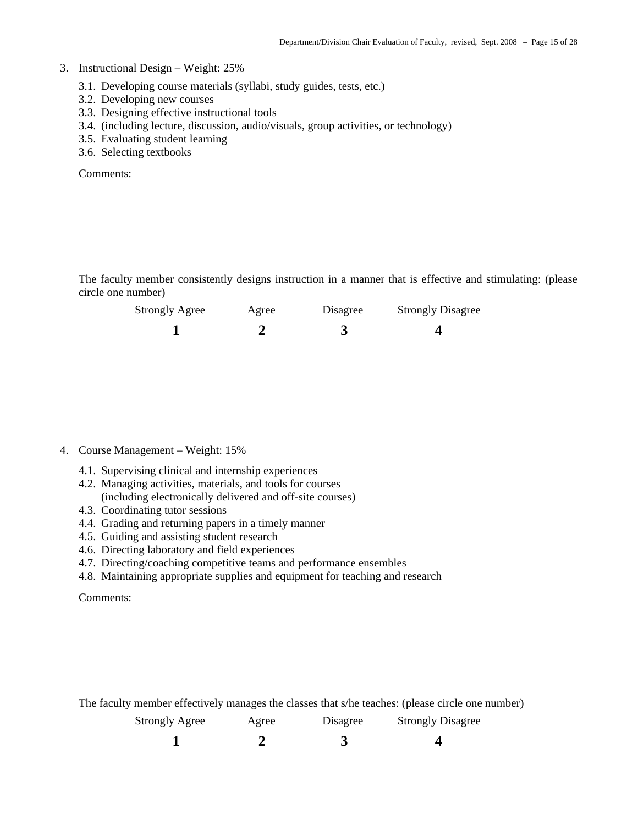#### 3. Instructional Design – Weight: 25%

- 3.1. Developing course materials (syllabi, study guides, tests, etc.)
- 3.2. Developing new courses
- 3.3. Designing effective instructional tools
- 3.4. (including lecture, discussion, audio/visuals, group activities, or technology)
- 3.5. Evaluating student learning
- 3.6. Selecting textbooks

Comments:

The faculty member consistently designs instruction in a manner that is effective and stimulating: (please circle one number)

| <b>Strongly Agree</b> | Agree | Disagree | <b>Strongly Disagree</b> |
|-----------------------|-------|----------|--------------------------|
|                       |       |          |                          |

#### 4. Course Management – Weight: 15%

- 4.1. Supervising clinical and internship experiences
- 4.2. Managing activities, materials, and tools for courses (including electronically delivered and off-site courses)
- 4.3. Coordinating tutor sessions
- 4.4. Grading and returning papers in a timely manner
- 4.5. Guiding and assisting student research
- 4.6. Directing laboratory and field experiences
- 4.7. Directing/coaching competitive teams and performance ensembles
- 4.8. Maintaining appropriate supplies and equipment for teaching and research

Comments:

The faculty member effectively manages the classes that s/he teaches: (please circle one number)

| <b>Strongly Agree</b> | Agree | Disagree | <b>Strongly Disagree</b> |
|-----------------------|-------|----------|--------------------------|
|                       |       |          |                          |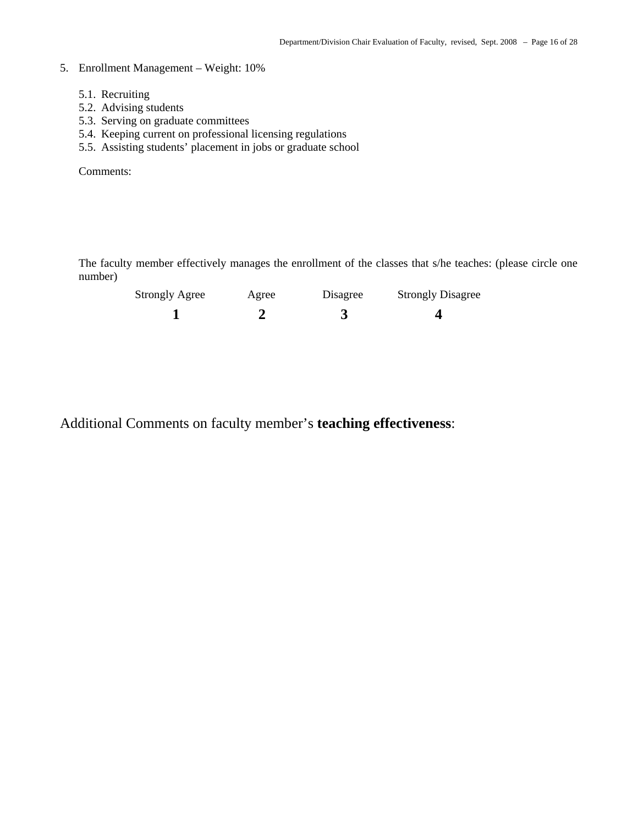#### 5. Enrollment Management – Weight: 10%

- 5.1. Recruiting
- 5.2. Advising students
- 5.3. Serving on graduate committees
- 5.4. Keeping current on professional licensing regulations
- 5.5. Assisting students' placement in jobs or graduate school

Comments:

The faculty member effectively manages the enrollment of the classes that s/he teaches: (please circle one number)

| <b>Strongly Agree</b> | Agree | Disagree | <b>Strongly Disagree</b> |
|-----------------------|-------|----------|--------------------------|
|                       |       |          |                          |

Additional Comments on faculty member's **teaching effectiveness**: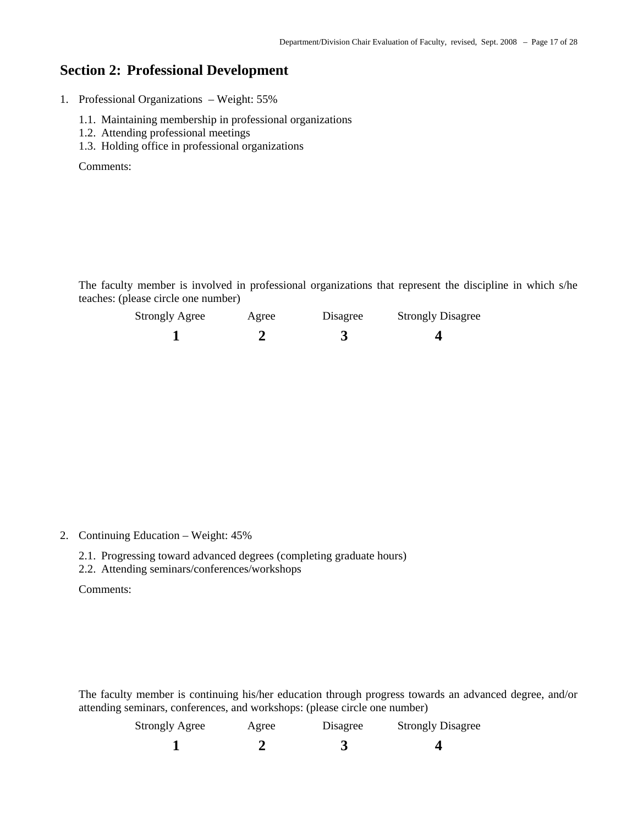#### **Section 2: Professional Development**

1. Professional Organizations – Weight: 55%

- 1.1. Maintaining membership in professional organizations
- 1.2. Attending professional meetings
- 1.3. Holding office in professional organizations

Comments:

The faculty member is involved in professional organizations that represent the discipline in which s/he teaches: (please circle one number)

| <b>Strongly Agree</b> | Agree | Disagree | <b>Strongly Disagree</b> |
|-----------------------|-------|----------|--------------------------|
|                       |       |          |                          |

2. Continuing Education – Weight: 45%

- 2.1. Progressing toward advanced degrees (completing graduate hours)
- 2.2. Attending seminars/conferences/workshops

Comments:

The faculty member is continuing his/her education through progress towards an advanced degree, and/or attending seminars, conferences, and workshops: (please circle one number)

| <b>Strongly Agree</b> | Agree | Disagree | <b>Strongly Disagree</b> |
|-----------------------|-------|----------|--------------------------|
|                       |       |          |                          |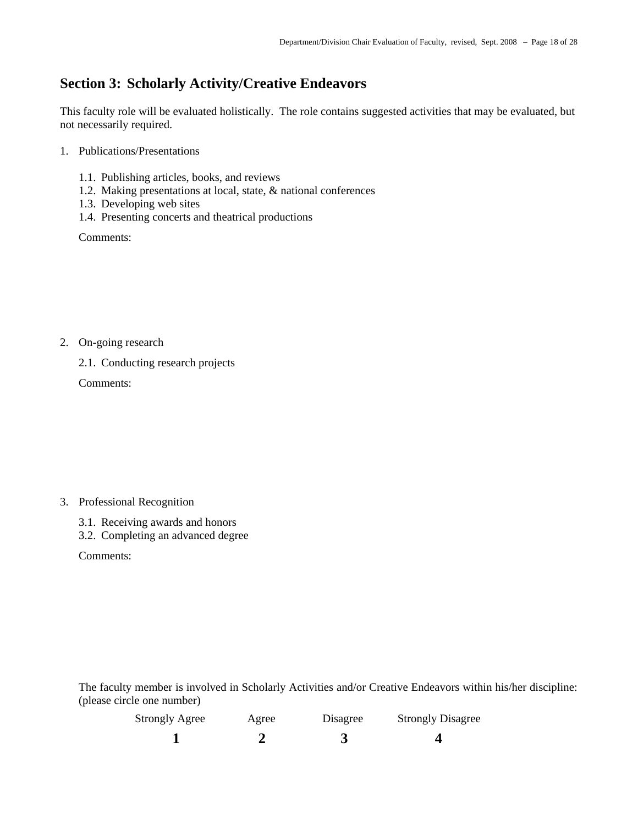### **Section 3: Scholarly Activity/Creative Endeavors**

This faculty role will be evaluated holistically. The role contains suggested activities that may be evaluated, but not necessarily required.

- 1. Publications/Presentations
	- 1.1. Publishing articles, books, and reviews
	- 1.2. Making presentations at local, state, & national conferences
	- 1.3. Developing web sites
	- 1.4. Presenting concerts and theatrical productions

Comments:

2. On-going research

2.1. Conducting research projects

Comments:

- 3. Professional Recognition
	- 3.1. Receiving awards and honors
	- 3.2. Completing an advanced degree

Comments:

The faculty member is involved in Scholarly Activities and/or Creative Endeavors within his/her discipline: (please circle one number)

| <b>Strongly Agree</b> | Agree | Disagree | <b>Strongly Disagree</b> |
|-----------------------|-------|----------|--------------------------|
|                       |       |          |                          |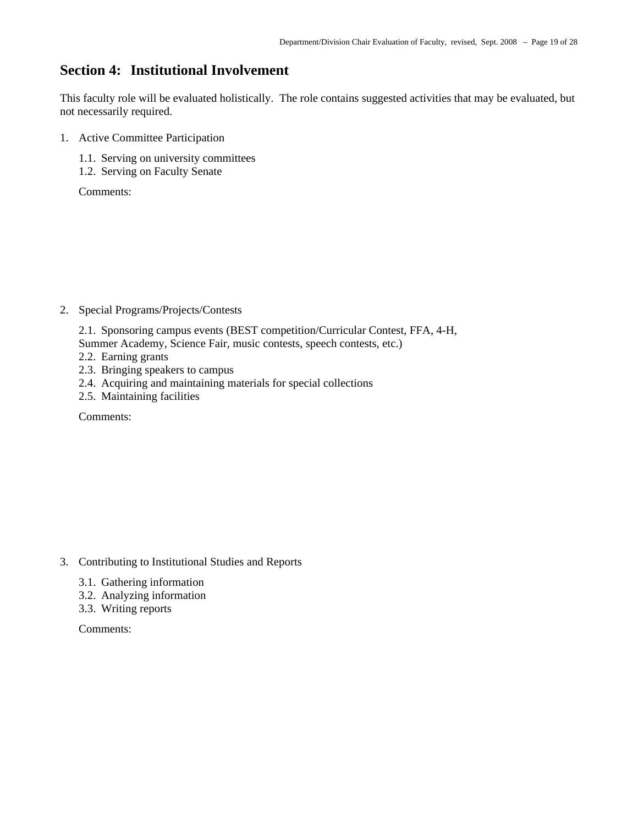#### **Section 4: Institutional Involvement**

This faculty role will be evaluated holistically. The role contains suggested activities that may be evaluated, but not necessarily required.

- 1. Active Committee Participation
	- 1.1. Serving on university committees
	- 1.2. Serving on Faculty Senate

Comments:

- 2. Special Programs/Projects/Contests
	- 2.1. Sponsoring campus events (BEST competition/Curricular Contest, FFA, 4-H,
	- Summer Academy, Science Fair, music contests, speech contests, etc.)
	- 2.2. Earning grants
	- 2.3. Bringing speakers to campus
	- 2.4. Acquiring and maintaining materials for special collections
	- 2.5. Maintaining facilities

Comments:

- 3. Contributing to Institutional Studies and Reports
	- 3.1. Gathering information
	- 3.2. Analyzing information
	- 3.3. Writing reports

Comments: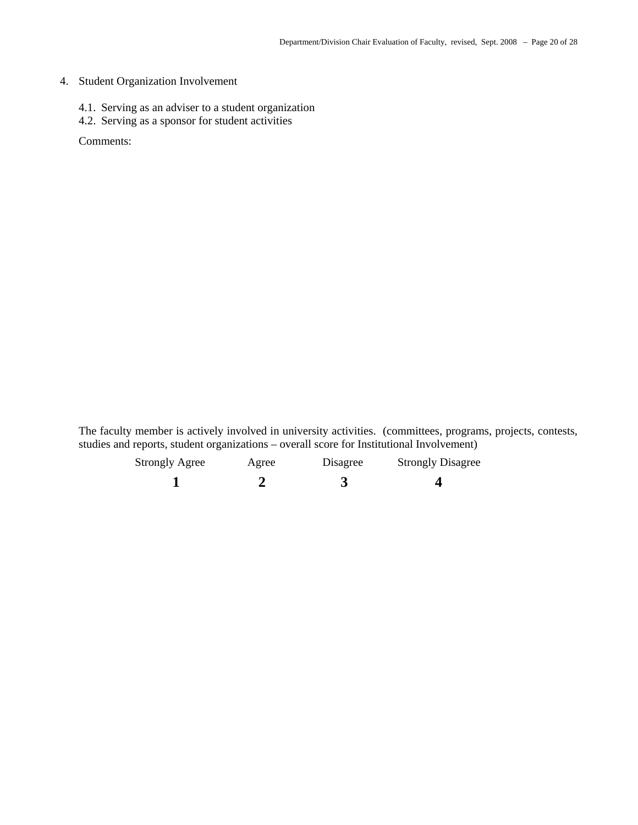#### 4. Student Organization Involvement

- 4.1. Serving as an adviser to a student organization
- 4.2. Serving as a sponsor for student activities

Comments:

The faculty member is actively involved in university activities. (committees, programs, projects, contests, studies and reports, student organizations – overall score for Institutional Involvement)

| <b>Strongly Agree</b> | Agree | Disagree | <b>Strongly Disagree</b> |
|-----------------------|-------|----------|--------------------------|
|                       |       |          |                          |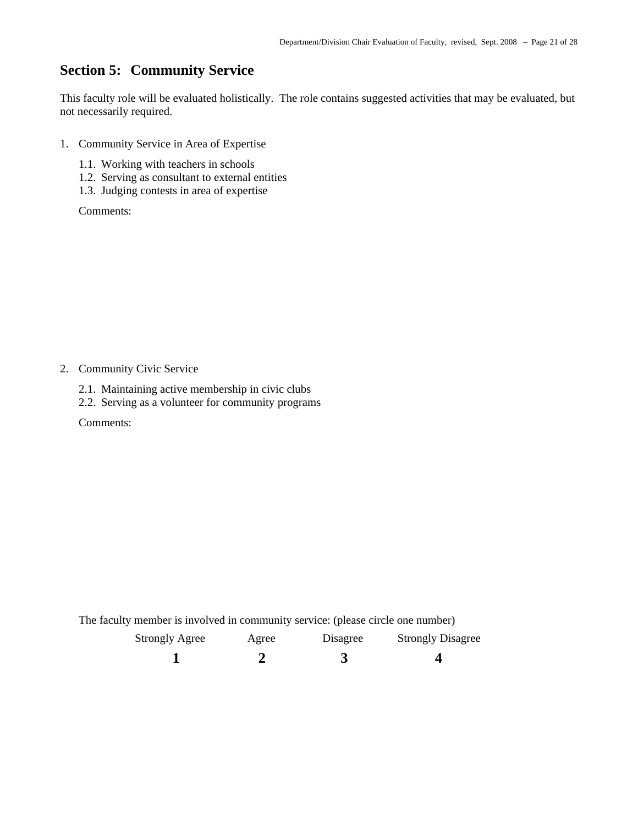## **Section 5: Community Service**

This faculty role will be evaluated holistically. The role contains suggested activities that may be evaluated, but not necessarily required.

- 1. Community Service in Area of Expertise
	- 1.1. Working with teachers in schools
	- 1.2. Serving as consultant to external entities
	- 1.3. Judging contests in area of expertise

Comments:

2. Community Civic Service

- 2.1. Maintaining active membership in civic clubs
- 2.2. Serving as a volunteer for community programs

Comments:

The faculty member is involved in community service: (please circle one number)

| <b>Strongly Agree</b> | Agree | Disagree | <b>Strongly Disagree</b> |
|-----------------------|-------|----------|--------------------------|
|                       |       |          |                          |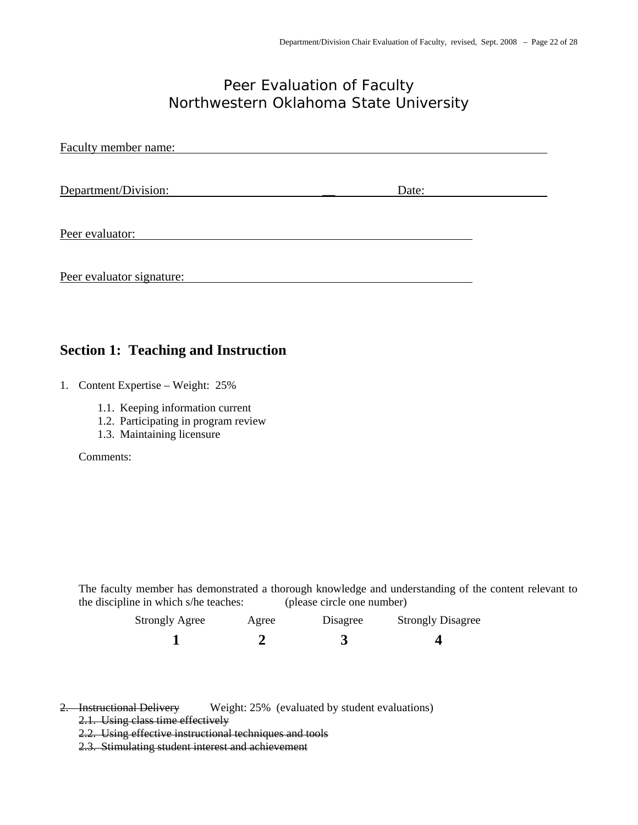## *Peer Evaluation of Faculty Northwestern Oklahoma State University*

| Faculty member name:      |       |  |
|---------------------------|-------|--|
| Department/Division:      | Date: |  |
| Peer evaluator:           |       |  |
| Peer evaluator signature: |       |  |

#### **Section 1: Teaching and Instruction**

- 1. Content Expertise Weight: 25%
	- 1.1. Keeping information current
	- 1.2. Participating in program review
	- 1.3. Maintaining licensure

Comments:

The faculty member has demonstrated a thorough knowledge and understanding of the content relevant to the discipline in which s/he teaches: (please circle one number)

| <b>Strongly Agree</b> | Agree | Disagree | <b>Strongly Disagree</b> |
|-----------------------|-------|----------|--------------------------|
|                       |       |          |                          |

2. Instructional Delivery Weight: 25% (evaluated by student evaluations)

- 2.1. Using class time effectively
- 2.2. Using effective instructional techniques and tools
- 2.3. Stimulating student interest and achievement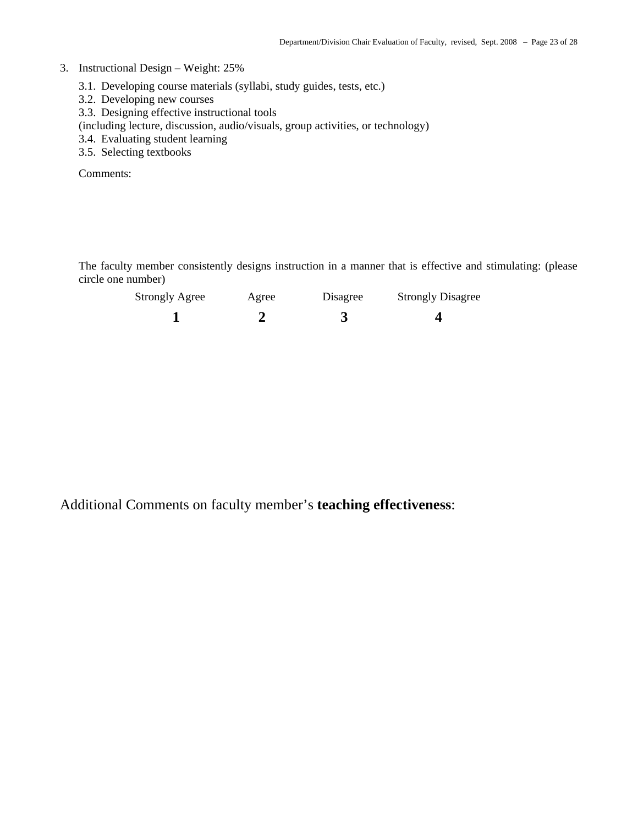#### 3. Instructional Design – Weight: 25%

- 3.1. Developing course materials (syllabi, study guides, tests, etc.)
- 3.2. Developing new courses
- 3.3. Designing effective instructional tools

(including lecture, discussion, audio/visuals, group activities, or technology)

- 3.4. Evaluating student learning
- 3.5. Selecting textbooks

Comments:

The faculty member consistently designs instruction in a manner that is effective and stimulating: (please circle one number)

| <b>Strongly Agree</b> | Agree | Disagree | <b>Strongly Disagree</b> |
|-----------------------|-------|----------|--------------------------|
|                       |       |          |                          |

Additional Comments on faculty member's **teaching effectiveness**: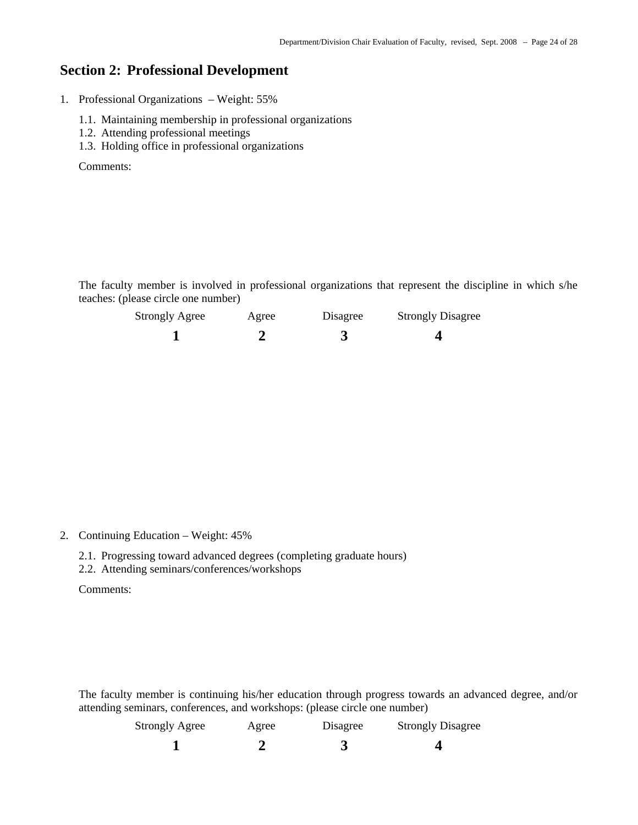#### **Section 2: Professional Development**

1. Professional Organizations – Weight: 55%

- 1.1. Maintaining membership in professional organizations
- 1.2. Attending professional meetings
- 1.3. Holding office in professional organizations

Comments:

The faculty member is involved in professional organizations that represent the discipline in which s/he teaches: (please circle one number)

| <b>Strongly Agree</b> | Agree | Disagree | <b>Strongly Disagree</b> |
|-----------------------|-------|----------|--------------------------|
|                       |       |          |                          |

2. Continuing Education – Weight: 45%

- 2.1. Progressing toward advanced degrees (completing graduate hours)
- 2.2. Attending seminars/conferences/workshops

Comments:

The faculty member is continuing his/her education through progress towards an advanced degree, and/or attending seminars, conferences, and workshops: (please circle one number)

| <b>Strongly Agree</b> | Agree | Disagree | <b>Strongly Disagree</b> |
|-----------------------|-------|----------|--------------------------|
|                       |       |          |                          |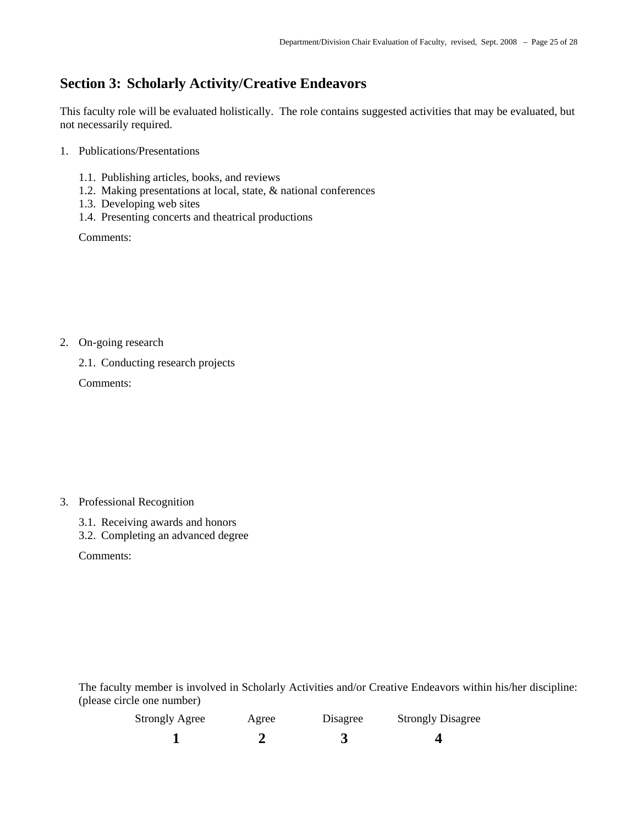### **Section 3: Scholarly Activity/Creative Endeavors**

This faculty role will be evaluated holistically. The role contains suggested activities that may be evaluated, but not necessarily required.

- 1. Publications/Presentations
	- 1.1. Publishing articles, books, and reviews
	- 1.2. Making presentations at local, state, & national conferences
	- 1.3. Developing web sites
	- 1.4. Presenting concerts and theatrical productions

Comments:

2. On-going research

2.1. Conducting research projects

Comments:

- 3. Professional Recognition
	- 3.1. Receiving awards and honors
	- 3.2. Completing an advanced degree

Comments:

The faculty member is involved in Scholarly Activities and/or Creative Endeavors within his/her discipline: (please circle one number)

| <b>Strongly Agree</b> | Agree | Disagree | <b>Strongly Disagree</b> |
|-----------------------|-------|----------|--------------------------|
|                       |       |          |                          |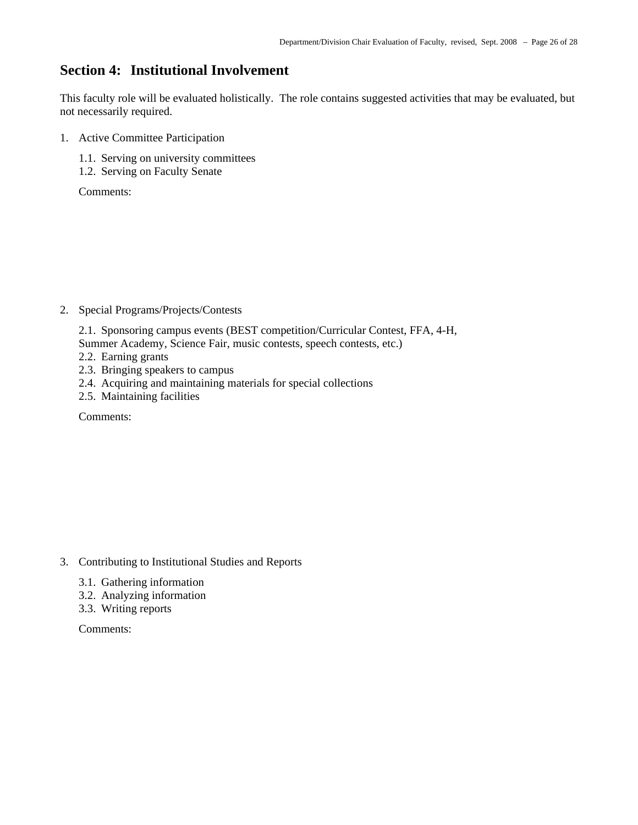#### **Section 4: Institutional Involvement**

This faculty role will be evaluated holistically. The role contains suggested activities that may be evaluated, but not necessarily required.

- 1. Active Committee Participation
	- 1.1. Serving on university committees
	- 1.2. Serving on Faculty Senate

Comments:

- 2. Special Programs/Projects/Contests
	- 2.1. Sponsoring campus events (BEST competition/Curricular Contest, FFA, 4-H,
	- Summer Academy, Science Fair, music contests, speech contests, etc.)
	- 2.2. Earning grants
	- 2.3. Bringing speakers to campus
	- 2.4. Acquiring and maintaining materials for special collections
	- 2.5. Maintaining facilities

Comments:

- 3. Contributing to Institutional Studies and Reports
	- 3.1. Gathering information
	- 3.2. Analyzing information
	- 3.3. Writing reports

Comments: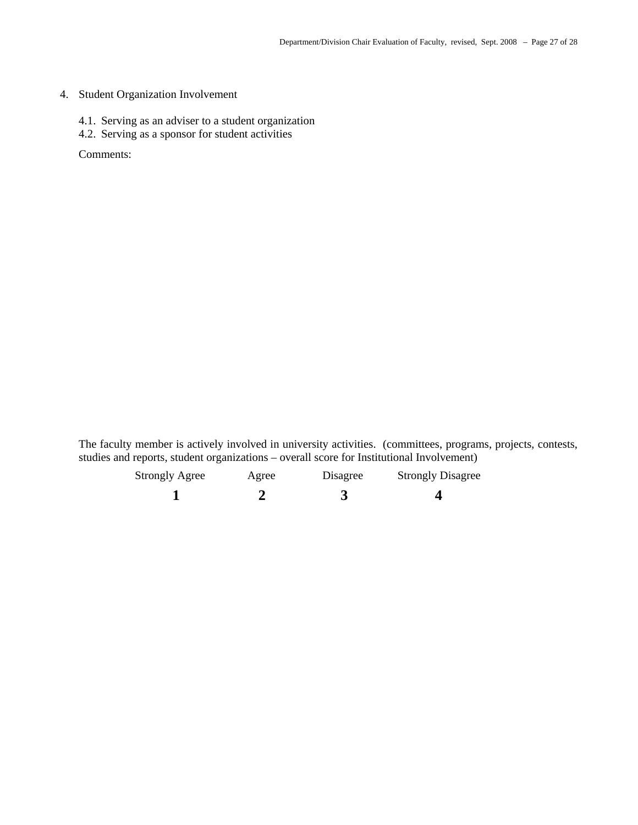#### 4. Student Organization Involvement

- 4.1. Serving as an adviser to a student organization
- 4.2. Serving as a sponsor for student activities

Comments:

The faculty member is actively involved in university activities. (committees, programs, projects, contests, studies and reports, student organizations – overall score for Institutional Involvement)

| <b>Strongly Agree</b> | Agree | Disagree | <b>Strongly Disagree</b> |
|-----------------------|-------|----------|--------------------------|
|                       |       |          |                          |